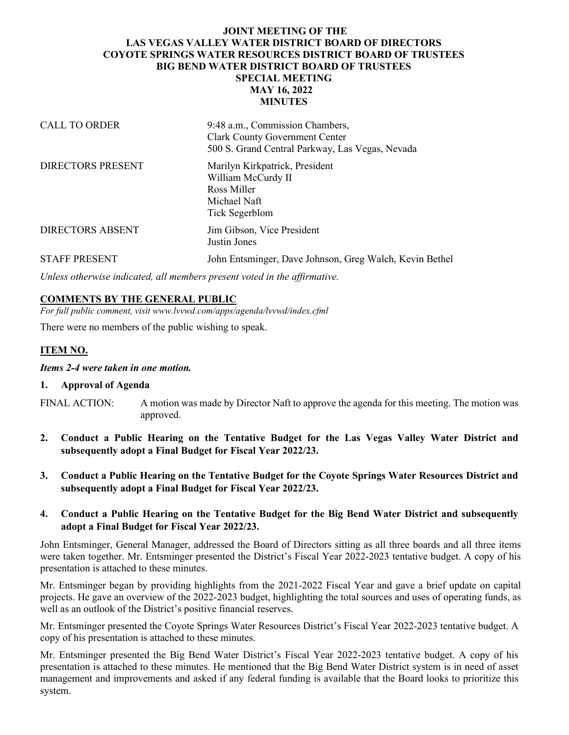## **JOINT MEETING OF THE LAS VEGAS VALLEY WATER DISTRICT BOARD OF DIRECTORS COYOTE SPRINGS WATER RESOURCES DISTRICT BOARD OF TRUSTEES BIG BEND WATER DISTRICT BOARD OF TRUSTEES SPECIAL MEETING MAY 16, 2022 MINUTES**

| <b>CALL TO ORDER</b>     | 9:48 a.m., Commission Chambers,<br><b>Clark County Government Center</b><br>500 S. Grand Central Parkway, Las Vegas, Nevada |
|--------------------------|-----------------------------------------------------------------------------------------------------------------------------|
| <b>DIRECTORS PRESENT</b> | Marilyn Kirkpatrick, President<br>William McCurdy II<br>Ross Miller<br>Michael Naft<br>Tick Segerblom                       |
| <b>DIRECTORS ABSENT</b>  | Jim Gibson, Vice President<br>Justin Jones                                                                                  |
| <b>STAFF PRESENT</b>     | John Entsminger, Dave Johnson, Greg Walch, Kevin Bethel                                                                     |

*Unless otherwise indicated, all members present voted in the affirmative.*

#### **COMMENTS BY THE GENERAL PUBLIC**

*For full public comment, visit www.lvvwd.com/apps/agenda/lvvwd/index.cfml*

There were no members of the public wishing to speak.

## **ITEM NO.**

*Items 2-4 were taken in one motion.*

#### **1. Approval of Agenda**

- FINAL ACTION: A motion was made by Director Naft to approve the agenda for this meeting. The motion was approved.
- **2. Conduct a Public Hearing on the Tentative Budget for the Las Vegas Valley Water District and subsequently adopt a Final Budget for Fiscal Year 2022/23.**
- **3. Conduct a Public Hearing on the Tentative Budget for the Coyote Springs Water Resources District and subsequently adopt a Final Budget for Fiscal Year 2022/23.**

#### **4. Conduct a Public Hearing on the Tentative Budget for the Big Bend Water District and subsequently adopt a Final Budget for Fiscal Year 2022/23.**

John Entsminger, General Manager, addressed the Board of Directors sitting as all three boards and all three items were taken together. Mr. Entsminger presented the District's Fiscal Year 2022-2023 tentative budget. A copy of his presentation is attached to these minutes.

Mr. Entsminger began by providing highlights from the 2021-2022 Fiscal Year and gave a brief update on capital projects. He gave an overview of the 2022-2023 budget, highlighting the total sources and uses of operating funds, as well as an outlook of the District's positive financial reserves.

Mr. Entsminger presented the Coyote Springs Water Resources District's Fiscal Year 2022-2023 tentative budget. A copy of his presentation is attached to these minutes.

Mr. Entsminger presented the Big Bend Water District's Fiscal Year 2022-2023 tentative budget. A copy of his presentation is attached to these minutes. He mentioned that the Big Bend Water District system is in need of asset management and improvements and asked if any federal funding is available that the Board looks to prioritize this system.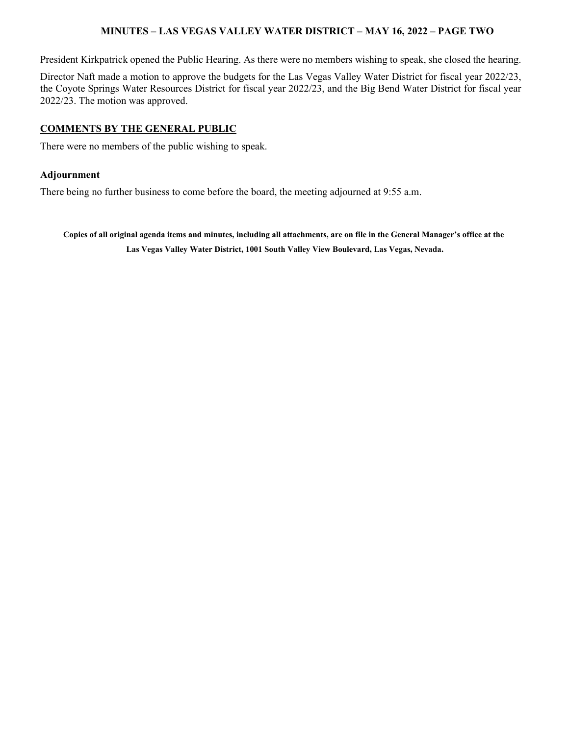## **MINUTES – LAS VEGAS VALLEY WATER DISTRICT – MAY 16, 2022 – PAGE TWO**

President Kirkpatrick opened the Public Hearing. As there were no members wishing to speak, she closed the hearing.

Director Naft made a motion to approve the budgets for the Las Vegas Valley Water District for fiscal year 2022/23, the Coyote Springs Water Resources District for fiscal year 2022/23, and the Big Bend Water District for fiscal year 2022/23. The motion was approved.

#### **COMMENTS BY THE GENERAL PUBLIC**

There were no members of the public wishing to speak.

#### **Adjournment**

There being no further business to come before the board, the meeting adjourned at 9:55 a.m.

**Copies of all original agenda items and minutes, including all attachments, are on file in the General Manager's office at the Las Vegas Valley Water District, 1001 South Valley View Boulevard, Las Vegas, Nevada.**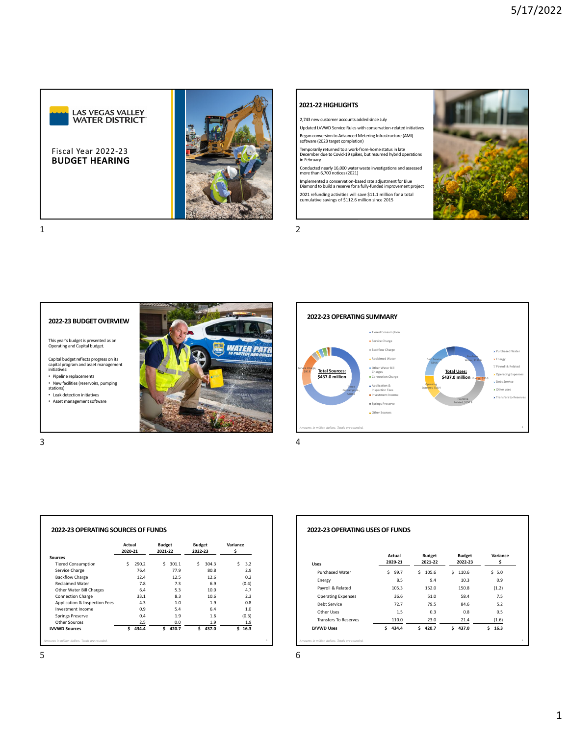

**BUDGET HEARING** Fiscal Year 2022‐23



#### **2021‐22HIGHLIGHTS**

2,743 new customer accounts added since July

Updated LVVWD Service Rules with conservation‐related initiatives

Began conversion to Advanced Metering Infrastructure (AMI) software (2023 target completion)

Temporarily returned to a work‐from‐home statusin late December due to Covid‐19 spikes, butresumed hybrid operations in February

Conducted nearly 16,000 water waste investigations and assessed more than 6,700 notices(2021)

Implemented a conservation‐based rate adjustmentfor Blue Diamond to build a reserve for a fully‐funded improvement project 2021 refunding activities will save \$11.1 million for a total cumulative savings of \$112.6 million since 2015







|                               | Actual<br>2020-21 |       | <b>Budget</b><br>2021-22 |       | <b>Budget</b><br>2022-23 |       | Variance<br>Ś |       |
|-------------------------------|-------------------|-------|--------------------------|-------|--------------------------|-------|---------------|-------|
| <b>Sources</b>                |                   |       |                          |       |                          |       |               |       |
| <b>Tiered Consumption</b>     | Ś                 | 290.2 | Ś                        | 301.1 | Ś                        | 304.3 | Ŝ.            | 3.2   |
| Service Charge                |                   | 76.4  |                          | 77.9  |                          | 80.8  |               | 2.9   |
| <b>Backflow Charge</b>        |                   | 12.4  |                          | 12.5  |                          | 12.6  |               | 0.2   |
| <b>Reclaimed Water</b>        |                   | 7.8   |                          | 7.3   |                          | 6.9   |               | (0.4) |
| Other Water Bill Charges      |                   | 6.4   |                          | 5.3   |                          | 10.0  |               | 4.7   |
| <b>Connection Charge</b>      |                   | 33.1  |                          | 8.3   |                          | 10.6  |               | 2.3   |
| Application & Inspection Fees |                   | 4.3   |                          | 1.0   |                          | 1.9   |               | 0.8   |
| Investment Income             |                   | 0.9   |                          | 5.4   |                          | 6.4   |               | 1.0   |
| <b>Springs Preserve</b>       |                   | 0.4   |                          | 1.9   |                          | 1.6   |               | (0.3) |
| Other Sources                 |                   | 2.5   |                          | 0.0   |                          | 1.9   |               | 1.9   |
| <b>LVVWD Sources</b>          | Ś                 | 434.4 | Ś                        | 420.7 | Ś                        | 437.0 | Ś.            | 16.3  |

#### **2022‐23OPERATINGUSESOF FUNDS** *Amounts in million dollars. Totals are rounded.* 6 **Uses** Purchased Water  $\begin{array}{ccc} 5 & 99.7 & \text{5} & 105.6 & \text{5} & 110.6 & \text{5} & 5.0 \end{array}$ Energy 8.5 9.4 10.3 0.9 Payroll & Related 105.3 152.0 150.8 (1.2)<br>
Operating Expenses 36.6 51.0 58.4 7.5 Operating Expenses 36.6 51.0 58.4 Debt Service 72.7 79.5 84.6 5.2 Other Uses 2.5 0.3 0.8 0.5 Transfers To Reserves 110.0 23.0 21.4 (1.6) **LVVWD Uses \$ 434.4 \$ 420.7 \$ 437.0 \$ 16.3 Actual Budget Budget Variance 2020‐21 2021‐22 2022‐23 \$**

*Amounts in million dollars. Totals are rounded.* 5  $5<sub>6</sub>$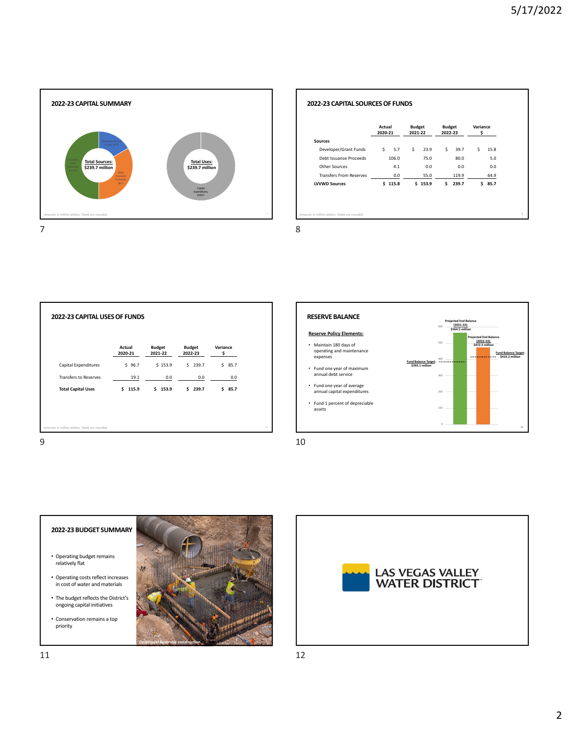٦



|                                | Actual<br>2020-21 | <b>Budget</b><br>2021-22 |         | <b>Budget</b><br>2022-23 |       | Variance<br>\$ |      |
|--------------------------------|-------------------|--------------------------|---------|--------------------------|-------|----------------|------|
| <b>Sources</b>                 |                   |                          |         |                          |       |                |      |
| Developer/Grant Funds          | \$<br>5.7         | \$                       | 23.9    | Ŝ.                       | 39.7  | \$             | 15.8 |
| Debt Issuance Proceeds         | 106.0             |                          | 75.0    |                          | 80.0  |                | 5.0  |
| Other Sources                  | 4.1               |                          | 0.0     |                          | 0.0   |                | 0.0  |
| <b>Transfers From Reserves</b> | 0.0               |                          | 55.0    |                          | 119.9 |                | 64.9 |
| <b>LVVWD Sources</b>           | \$115.8           |                          | \$153.9 | \$                       | 239.7 | \$             | 85.7 |
|                                |                   |                          |         |                          |       |                |      |







Г





- The budget reflects the District's ongoing capital initiatives
- Conservation remains a top priority